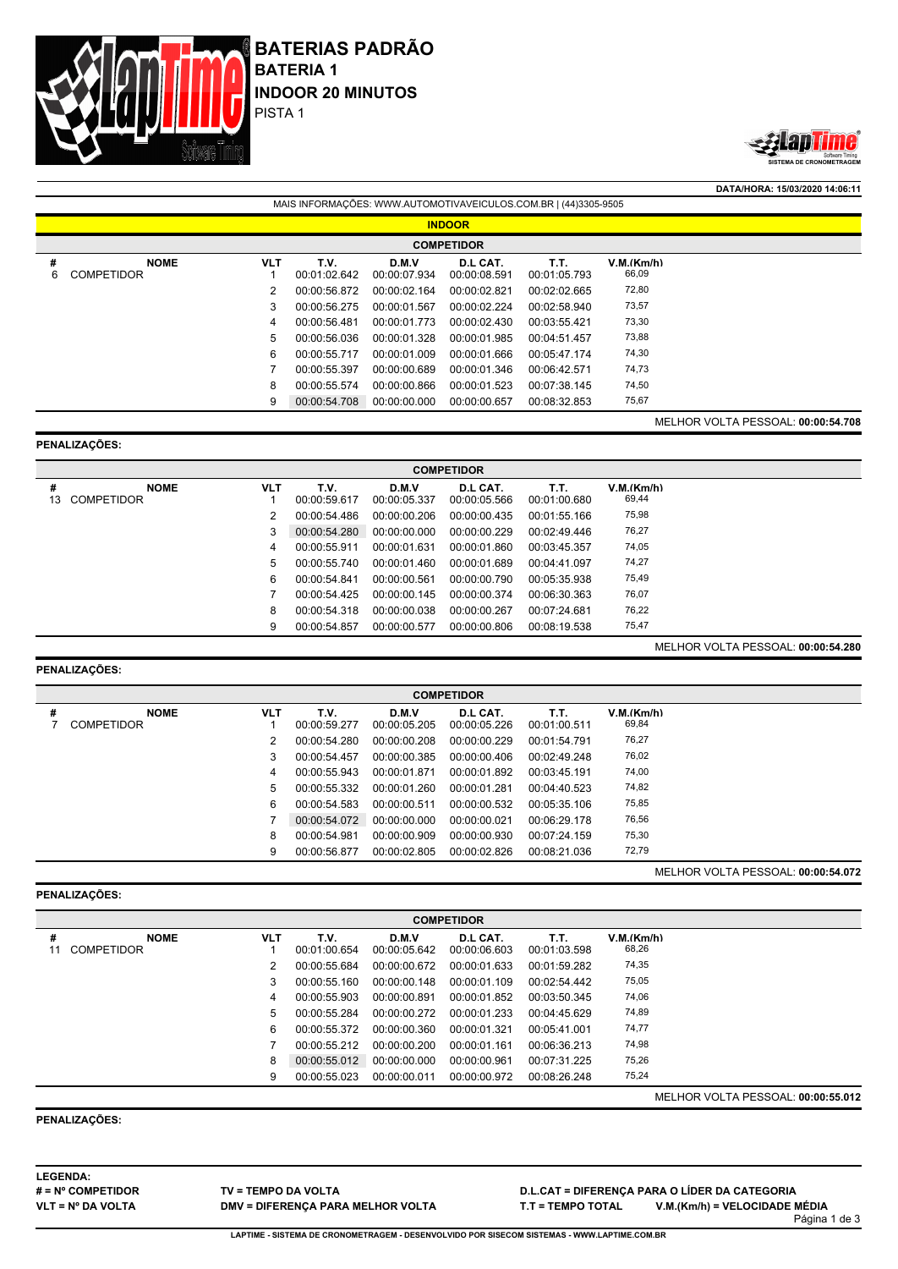



**DATA/HORA: 15/03/2020 14:06:11**

|        | MAIS INFORMAÇÕES: WWW.AUTOMOTIVAVEICULOS.COM.BR   (44)3305-9505 |            |                      |                       |                          |                      |                     |                                    |  |  |  |
|--------|-----------------------------------------------------------------|------------|----------------------|-----------------------|--------------------------|----------------------|---------------------|------------------------------------|--|--|--|
|        | <b>INDOOR</b>                                                   |            |                      |                       |                          |                      |                     |                                    |  |  |  |
|        | <b>COMPETIDOR</b>                                               |            |                      |                       |                          |                      |                     |                                    |  |  |  |
| #<br>6 | <b>NOME</b><br><b>COMPETIDOR</b>                                | <b>VLT</b> | T.V.<br>00:01:02.642 | D.M.V<br>00:00:07.934 | D.L CAT.<br>00:00:08.591 | T.T.<br>00:01:05.793 | V.M.(Km/h)<br>66,09 |                                    |  |  |  |
|        |                                                                 | 2          | 00:00:56.872         | 00:00:02.164          | 00:00:02.821             | 00:02:02.665         | 72,80               |                                    |  |  |  |
|        |                                                                 | 3          | 00:00:56.275         | 00:00:01.567          | 00:00:02.224             | 00:02:58.940         | 73,57               |                                    |  |  |  |
|        |                                                                 | 4          | 00:00:56.481         | 00:00:01.773          | 00:00:02.430             | 00:03:55.421         | 73,30               |                                    |  |  |  |
|        |                                                                 | 5          | 00:00:56.036         | 00:00:01.328          | 00:00:01.985             | 00:04:51.457         | 73,88               |                                    |  |  |  |
|        |                                                                 | 6          | 00:00:55.717         | 00:00:01.009          | 00:00:01.666             | 00:05:47.174         | 74,30               |                                    |  |  |  |
|        |                                                                 |            | 00:00:55.397         | 00:00:00.689          | 00:00:01.346             | 00:06:42.571         | 74,73               |                                    |  |  |  |
|        |                                                                 | 8          | 00:00:55.574         | 00:00:00.866          | 00:00:01.523             | 00:07:38.145         | 74,50               |                                    |  |  |  |
|        |                                                                 | 9          | 00:00:54.708         | 00:00:00.000          | 00:00:00.657             | 00:08:32.853         | 75,67               |                                    |  |  |  |
|        |                                                                 |            |                      |                       |                          |                      |                     | MELHOR VOLTA PESSOAL: 00:00:54.708 |  |  |  |

#### **PENALIZAÇÕES:**

**COMPETIDOR # NOME VLT T.V. D.M.V D.L CAT. T.T. V.M.(Km/h)** COMPETIDOR 1 00:00:59.617 00:00:05.337 00:00:05.566 00:01:00.680 69,44 00:00:54.486 00:00:00.206 00:00:00.435 00:01:55.166 75,98 00:00:54.280 00:00:00.000 00:00:00.229 00:02:49.446 76,27 00:00:55.911 00:00:01.631 00:00:01.860 00:03:45.357 74,05 00:00:55.740 00:00:01.460 00:00:01.689 00:04:41.097 74,27 00:00:54.841 00:00:00.561 00:00:00.790 00:05:35.938 75,49 00:00:54.425 00:00:00.145 00:00:00.374 00:06:30.363 76,07 00:00:54.318 00:00:00.038 00:00:00.267 00:07:24.681 76,22 00:00:54.857 00:00:00.577 00:00:00.806 00:08:19.538 75,47

# **PENALIZAÇÕES:**

**COMPETIDOR # NOME VLT T.V. D.M.V D.L CAT. T.T. V.M.(Km/h)** COMPETIDOR 1 00:00:59.277 00:00:05.205 00:00:05.226 00:01:00.511 69,84 00:00:54.280 00:00:00.208 00:00:00.229 00:01:54.791 76,27 00:00:54.457 00:00:00.385 00:00:00.406 00:02:49.248 76,02 00:00:55.943 00:00:01.871 00:00:01.892 00:03:45.191 74,00 00:00:55.332 00:00:01.260 00:00:01.281 00:04:40.523 74,82 00:00:54.583 00:00:00.511 00:00:00.532 00:05:35.106 75,85 00:00:54.072 00:00:00.000 00:00:00.021 00:06:29.178 76,56 00:00:54.981 00:00:00.909 00:00:00.930 00:07:24.159 75,30 00:00:56.877 00:00:02.805 00:00:02.826 00:08:21.036 72,79

# **PENALIZAÇÕES:**

MELHOR VOLTA PESSOAL: **00:00:54.072**

MELHOR VOLTA PESSOAL: **00:00:54.280**

| <b>COMPETIDOR</b> |            |              |              |              |              |            |                                    |  |  |
|-------------------|------------|--------------|--------------|--------------|--------------|------------|------------------------------------|--|--|
| <b>NOME</b><br>#  | <b>VLT</b> | T.V.         | D.M.V        | D.L CAT.     | T.T.         | V.M.(Km/h) |                                    |  |  |
| <b>COMPETIDOR</b> |            | 00:01:00.654 | 00:00:05.642 | 00:00:06.603 | 00:01:03.598 | 68,26      |                                    |  |  |
|                   |            | 00:00:55.684 | 00:00:00.672 | 00:00:01.633 | 00:01:59.282 | 74,35      |                                    |  |  |
|                   | 3          | 00:00:55.160 | 00:00:00.148 | 00:00:01.109 | 00:02:54.442 | 75,05      |                                    |  |  |
|                   | 4          | 00:00:55.903 | 00:00:00.891 | 00:00:01.852 | 00:03:50.345 | 74,06      |                                    |  |  |
|                   | 5          | 00:00:55.284 | 00:00:00.272 | 00:00:01.233 | 00:04:45.629 | 74,89      |                                    |  |  |
|                   | 6          | 00:00:55.372 | 00:00:00.360 | 00:00:01.321 | 00:05:41.001 | 74,77      |                                    |  |  |
|                   |            | 00:00:55.212 | 00:00:00.200 | 00:00:01.161 | 00:06:36.213 | 74,98      |                                    |  |  |
|                   | 8          | 00:00:55.012 | 00:00:00.000 | 00:00:00.961 | 00:07:31.225 | 75,26      |                                    |  |  |
|                   | 9          | 00:00:55.023 | 00:00:00.011 | 00:00:00.972 | 00:08:26.248 | 75,24      |                                    |  |  |
|                   |            |              |              |              |              |            | MELHOR VOLTA PESSOAL: 00:00:55.012 |  |  |

# **PENALIZAÇÕES:**

**LEGENDA: # = Nº COMPETIDOR VLT = Nº DA VOLTA**

**TV = TEMPO DA VOLTA DMV = DIFERENÇA PARA MELHOR VOLTA** **D.L.CAT = DIFERENÇA PARA O LÍDER DA CATEGORIA T.T = TEMPO TOTAL V.M.(Km/h) = VELOCIDADE MÉDIA**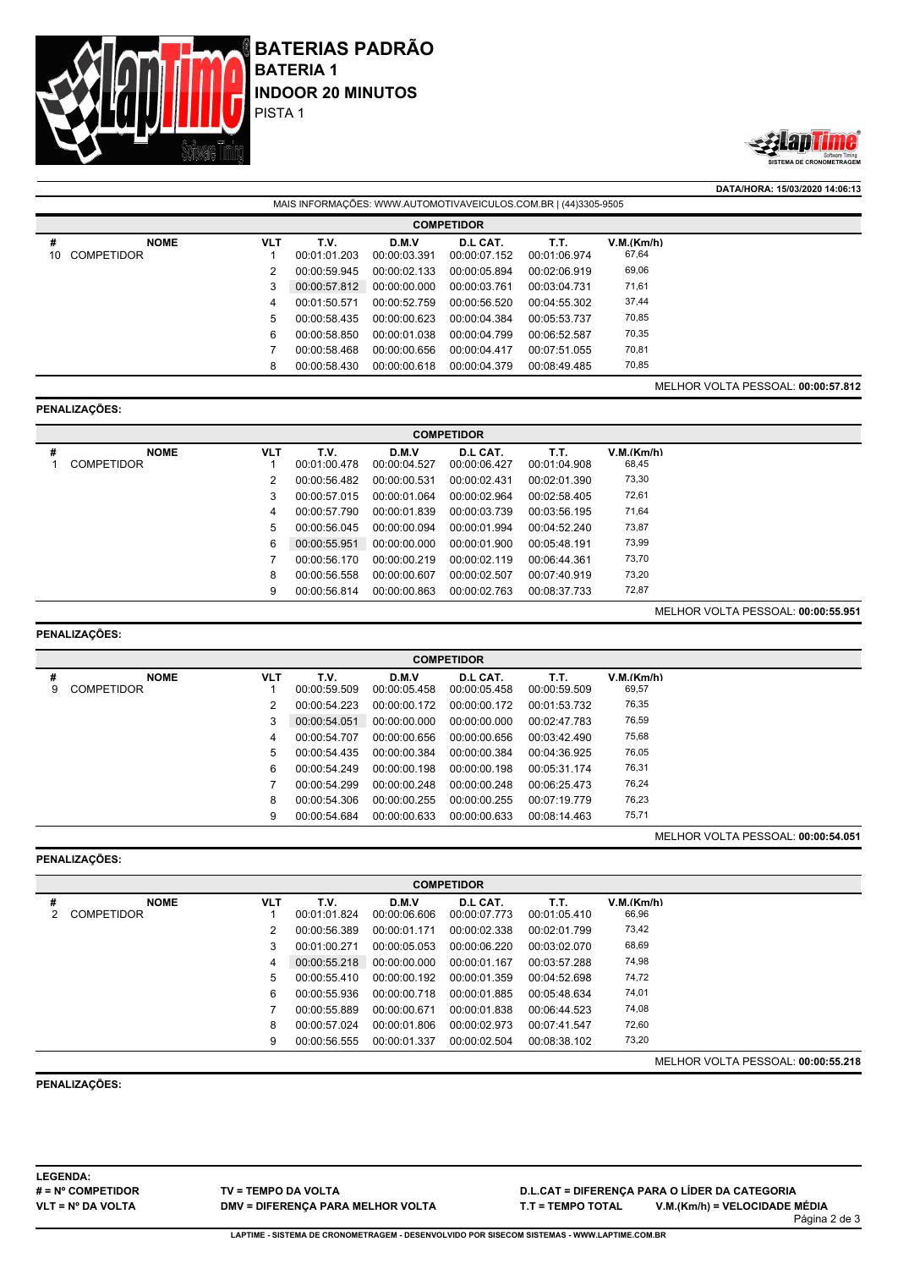



**DATA/HORA: 15/03/2020 14:06:13** MAIS INFORMAÇÕES: WWW.AUTOMOTIVAVEICULOS.COM.BR | (44)3305-9505 **COMPETIDOR # NOME VLT T.V. D.M.V D.L CAT. T.T. V.M.(Km/h)** 10 COMPETIDOR 1 00:01:01.203 00:00:03.391 00:00:07.152 00:01:06.974 67,64 2 00:00:59.945 00:00:02.133 00:00:05.894 00:02:06.919 69,06 3 00:00:57.812 00:00:00.000 00:00:03.761 00:03:04.731 71,61 4 00:01:50.571 00:00:52.759 00:00:56.520 00:04:55.302 37,44 5 00:00:58.435 00:00:00.623 00:00:04.384 00:05:53.737 6 00:00:58.850 00:00:01.038 00:00:04.799 00:06:52.587 70,35 7 00:00:58.468 00:00:00.656 00:00:04.417 00:07:51.055 70,81 8 00:00:58.430 00:00:00.618 00:00:04.379 00:08:49.485 MELHOR VOLTA PESSOAL: **00:00:57.812**

### **PENALIZAÇÕES:**

|   | <b>COMPETIDOR</b> |            |              |              |              |              |            |  |  |  |
|---|-------------------|------------|--------------|--------------|--------------|--------------|------------|--|--|--|
| # | <b>NOME</b>       | <b>VLT</b> | T.V.         | D.M.V        | D.L CAT.     | T.T.         | V.M.(Km/h) |  |  |  |
|   | <b>COMPETIDOR</b> |            | 00:01:00.478 | 00:00:04.527 | 00:00:06.427 | 00:01:04.908 | 68,45      |  |  |  |
|   |                   | 2          | 00:00:56.482 | 00:00:00.531 | 00:00:02.431 | 00:02:01.390 | 73,30      |  |  |  |
|   |                   | 3          | 00:00:57.015 | 00:00:01.064 | 00:00:02.964 | 00:02:58.405 | 72,61      |  |  |  |
|   |                   | 4          | 00:00:57.790 | 00:00:01.839 | 00:00:03.739 | 00:03:56.195 | 71,64      |  |  |  |
|   |                   | 5          | 00:00:56.045 | 00:00:00.094 | 00:00:01.994 | 00:04:52.240 | 73,87      |  |  |  |
|   |                   | 6          | 00:00:55.951 | 00:00:00.000 | 00:00:01.900 | 00:05:48.191 | 73,99      |  |  |  |
|   |                   |            | 00:00:56.170 | 00:00:00.219 | 00:00:02.119 | 00:06:44.361 | 73,70      |  |  |  |
|   |                   | 8          | 00:00:56.558 | 00:00:00.607 | 00:00:02.507 | 00:07:40.919 | 73,20      |  |  |  |
|   |                   | 9          | 00:00:56.814 | 00:00:00.863 | 00:00:02.763 | 00:08:37.733 | 72,87      |  |  |  |
|   |                   |            |              |              |              |              |            |  |  |  |

### **PENALIZAÇÕES:**

**PENALIZAÇÕES:**

MELHOR VOLTA PESSOAL: **00:00:55.951**

|        | <b>COMPETIDOR</b>                |            |                      |                       |                          |                      |                     |  |  |
|--------|----------------------------------|------------|----------------------|-----------------------|--------------------------|----------------------|---------------------|--|--|
| #<br>9 | <b>NOME</b><br><b>COMPETIDOR</b> | <b>VLT</b> | T.V.<br>00:00:59.509 | D.M.V<br>00:00:05.458 | D.L CAT.<br>00:00:05.458 | T.T.<br>00:00:59.509 | V.M.(Km/h)<br>69,57 |  |  |
|        |                                  | 2          | 00:00:54.223         | 00:00:00.172          | 00:00:00.172             | 00:01:53.732         | 76,35               |  |  |
|        |                                  | 3          | 00:00:54.051         | 00:00:00.000          | 00:00:00.000             | 00:02:47.783         | 76,59               |  |  |
|        |                                  | 4          | 00:00:54.707         | 00:00:00.656          | 00:00:00.656             | 00:03:42.490         | 75,68               |  |  |
|        |                                  | 5          | 00:00:54.435         | 00:00:00.384          | 00:00:00.384             | 00:04:36.925         | 76,05               |  |  |
|        |                                  | 6          | 00:00:54.249         | 00:00:00.198          | 00:00:00.198             | 00:05:31.174         | 76,31               |  |  |
|        |                                  |            | 00:00:54.299         | 00:00:00.248          | 00:00:00.248             | 00:06:25.473         | 76,24               |  |  |
|        |                                  | 8          | 00:00:54.306         | 00:00:00.255          | 00:00:00.255             | 00:07:19.779         | 76,23               |  |  |
|        |                                  | 9          | 00:00:54.684         | 00:00:00.633          | 00:00:00.633             | 00:08:14.463         | 75,71               |  |  |

MELHOR VOLTA PESSOAL: **00:00:54.051**

|   | <b>COMPETIDOR</b>                |            |                      |                       |                          |                      |                                    |  |  |  |
|---|----------------------------------|------------|----------------------|-----------------------|--------------------------|----------------------|------------------------------------|--|--|--|
| # | <b>NOME</b><br><b>COMPETIDOR</b> | <b>VLT</b> | T.V.<br>00:01:01.824 | D.M.V<br>00:00:06.606 | D.L CAT.<br>00:00:07.773 | T.T.<br>00:01:05.410 | V.M.(Km/h)<br>66,96                |  |  |  |
|   |                                  |            | 00:00:56.389         | 00:00:01.171          | 00:00:02.338             | 00:02:01.799         | 73,42                              |  |  |  |
|   |                                  | 3          | 00:01:00.271         | 00:00:05.053          | 00:00:06.220             | 00:03:02.070         | 68,69                              |  |  |  |
|   |                                  | 4          | 00:00:55.218         | 00:00:00.000          | 00:00:01.167             | 00:03:57.288         | 74,98                              |  |  |  |
|   |                                  | 5.         | 00:00:55.410         | 00:00:00.192          | 00:00:01.359             | 00:04:52.698         | 74,72                              |  |  |  |
|   |                                  | 6          | 00:00:55.936         | 00:00:00.718          | 00:00:01.885             | 00:05:48.634         | 74,01                              |  |  |  |
|   |                                  |            | 00:00:55.889         | 00:00:00.671          | 00:00:01.838             | 00:06:44.523         | 74,08                              |  |  |  |
|   |                                  | 8          | 00:00:57.024         | 00:00:01.806          | 00:00:02.973             | 00:07:41.547         | 72,60                              |  |  |  |
|   |                                  | 9          | 00:00:56.555         | 00:00:01.337          | 00:00:02.504             | 00:08:38.102         | 73,20                              |  |  |  |
|   |                                  |            |                      |                       |                          |                      | MELHOR VOLTA PESSOAL: 00:00:55.218 |  |  |  |

**PENALIZAÇÕES:**

**LEGENDA: # = Nº COMPETIDOR VLT = Nº DA VOLTA**

**TV = TEMPO DA VOLTA DMV = DIFERENÇA PARA MELHOR VOLTA** **D.L.CAT = DIFERENÇA PARA O LÍDER DA CATEGORIA T.T = TEMPO TOTAL V.M.(Km/h) = VELOCIDADE MÉDIA**

Página 2 de 3